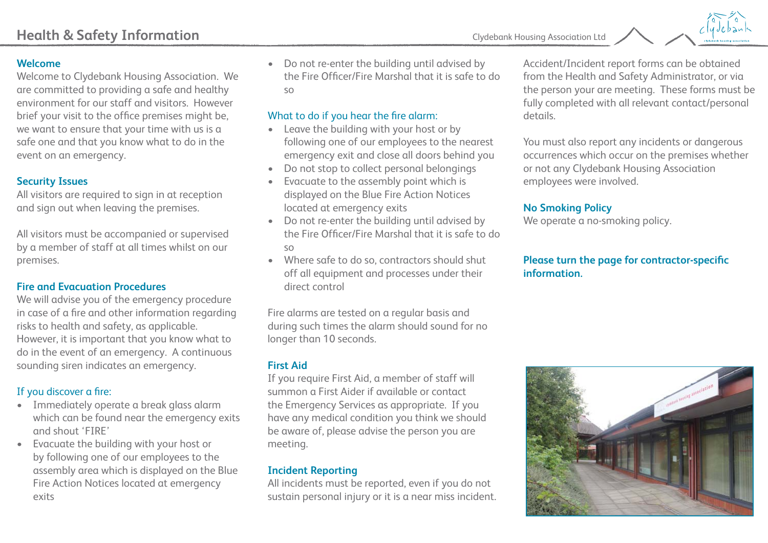

#### **Welcome**

Welcome to Clydebank Housing Association. We are committed to providing a safe and healthy environment for our staff and visitors. However brief your visit to the office premises might be, we want to ensure that your time with us is a safe one and that you know what to do in the event on an emergency.

#### **Security Issues**

All visitors are required to sign in at reception and sign out when leaving the premises.

All visitors must be accompanied or supervised by a member of staff at all times whilst on our premises.

#### **Fire and Evacuation Procedures**

We will advise you of the emergency procedure in case of a fire and other information regarding risks to health and safety, as applicable. However, it is important that you know what to do in the event of an emergency. A continuous sounding siren indicates an emergency.

# If you discover a fire:

- Immediately operate a break glass alarm which can be found near the emergency exits and shout 'FIRE'
- Evacuate the building with your host or by following one of our employees to the assembly area which is displayed on the Blue Fire Action Notices located at emergency exits

• Do not re-enter the building until advised by the Fire Officer/Fire Marshal that it is safe to do so

### What to do if you hear the fire alarm:

- Leave the building with your host or by following one of our employees to the nearest emergency exit and close all doors behind you
- Do not stop to collect personal belongings
- Evacuate to the assembly point which is displayed on the Blue Fire Action Notices located at emergency exits
- Do not re-enter the building until advised by the Fire Officer/Fire Marshal that it is safe to do so
- Where safe to do so, contractors should shut off all equipment and processes under their direct control

Fire alarms are tested on a regular basis and during such times the alarm should sound for no longer than 10 seconds.

### **First Aid**

If you require First Aid, a member of staff will summon a First Aider if available or contact the Emergency Services as appropriate. If you have any medical condition you think we should be aware of, please advise the person you are meeting.

# **Incident Reporting**

All incidents must be reported, even if you do not sustain personal injury or it is a near miss incident. Accident/Incident report forms can be obtained from the Health and Safety Administrator, or via the person your are meeting. These forms must be fully completed with all relevant contact/personal details.

You must also report any incidents or dangerous occurrences which occur on the premises whether or not any Clydebank Housing Association employees were involved.

### **No Smoking Policy**

We operate a no-smoking policy.

## **Please turn the page for contractor-specific information.**